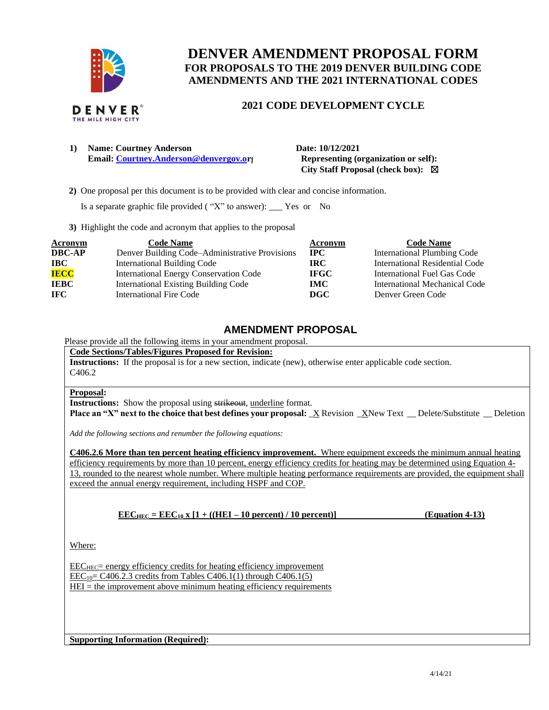

# **DENVER AMENDMENT PROPOSAL FORM FOR PROPOSALS TO THE 2019 DENVER BUILDING CODE AMENDMENTS AND THE 2021 INTERNATIONAL CODES**

## **2021 CODE DEVELOPMENT CYCLE**

| 1) | <b>Name: Courtney Anderson</b>         |  |  |  |
|----|----------------------------------------|--|--|--|
|    | Email: Courtney.Anderson@denvergov.org |  |  |  |

**1) Name: Courtney Anderson Date: 10/12/2021 Representing (organization or self): City Staff Proposal (check box):** ☒

 **2)** One proposal per this document is to be provided with clear and concise information.

Is a separate graphic file provided ( "X" to answer): \_\_\_ Yes or No

**3)** Highlight the code and acronym that applies to the proposal

| <b>Acronym</b> | <b>Code Name</b>                               | <b>Acronym</b> | <b>Code Name</b>                   |
|----------------|------------------------------------------------|----------------|------------------------------------|
| <b>DBC-AP</b>  | Denver Building Code-Administrative Provisions | $_{\rm IPC}$   | <b>International Plumbing Code</b> |
| <b>IBC</b>     | <b>International Building Code</b>             | IRC-           | International Residential Code     |
| <b>IECC</b>    | <b>International Energy Conservation Code</b>  | <b>IFGC</b>    | International Fuel Gas Code        |
| <b>IEBC</b>    | <b>International Existing Building Code</b>    | <b>IMC</b>     | International Mechanical Code      |
| <b>IFC</b>     | International Fire Code                        | DGC            | Denver Green Code                  |

# **AMENDMENT PROPOSAL**

Please provide all the following items in your amendment proposal.

**Code Sections/Tables/Figures Proposed for Revision:**

**Instructions:** If the proposal is for a new section, indicate (new), otherwise enter applicable code section.  $C406.2$ 

#### **Proposal:**

**Instructions:** Show the proposal using strikeout, underline format.

**Place an "X" next to the choice that best defines your proposal:**  $\overline{X}$  Revision  $\overline{X}$ New Text  $\overline{X}$  Delete/Substitute  $\overline{X}$  Deletion

*Add the following sections and renumber the following equations:* 

**C406.2.6 More than ten percent heating efficiency improvement.** Where equipment exceeds the minimum annual heating efficiency requirements by more than 10 percent, energy efficiency credits for heating may be determined using Equation 4- 13, rounded to the nearest whole number. Where multiple heating performance requirements are provided, the equipment shall exceed the annual energy requirement, including HSPF and COP.

**EEC**<sub>HEC</sub> = **EEC**<sub>10</sub> **x**  $[1 + ((HEI – 10 percent) / 10 percent)]$  **(Equation 4-13)** 

Where:

 $\text{EEC}_{\text{HEC}}$  energy efficiency credits for heating efficiency improvement  $\text{EEC}_{10}$  = C406.2.3 credits from Tables C406.1(1) through C406.1(5)

 $HEI =$  the improvement above minimum heating efficiency requirements

**Supporting Information (Required):**